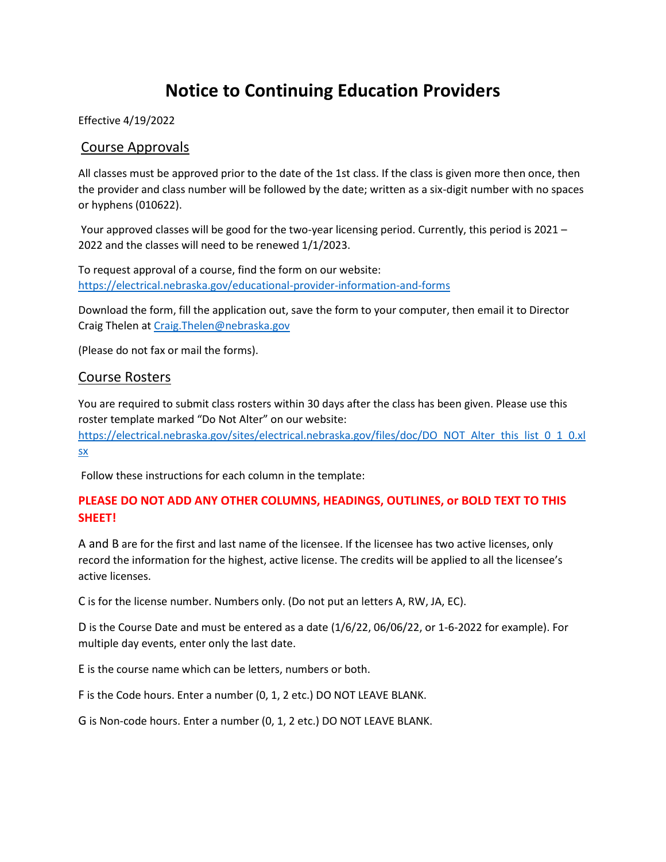# **Notice to Continuing Education Providers**

Effective 4/19/2022

## Course Approvals

All classes must be approved prior to the date of the 1st class. If the class is given more then once, then the provider and class number will be followed by the date; written as a six-digit number with no spaces or hyphens (010622).

Your approved classes will be good for the two-year licensing period. Currently, this period is 2021 – 2022 and the classes will need to be renewed 1/1/2023.

To request approval of a course, find the form on our website: <https://electrical.nebraska.gov/educational-provider-information-and-forms>

Download the form, fill the application out, save the form to your computer, then email it to Director Craig Thelen a[t Craig.Thelen@nebraska.gov](mailto:Craig.Thelen@nebraska.gov)

(Please do not fax or mail the forms).

### Course Rosters

You are required to submit class rosters within 30 days after the class has been given. Please use this roster template marked "Do Not Alter" on our website:

[https://electrical.nebraska.gov/sites/electrical.nebraska.gov/files/doc/DO\\_NOT\\_Alter\\_this\\_list\\_0\\_1\\_0.xl](https://electrical.nebraska.gov/sites/electrical.nebraska.gov/files/doc/DO_NOT_Alter_this_list_0_1_0.xlsx) [sx](https://electrical.nebraska.gov/sites/electrical.nebraska.gov/files/doc/DO_NOT_Alter_this_list_0_1_0.xlsx)

Follow these instructions for each column in the template:

## **PLEASE DO NOT ADD ANY OTHER COLUMNS, HEADINGS, OUTLINES, or BOLD TEXT TO THIS SHEET!**

A and B are for the first and last name of the licensee. If the licensee has two active licenses, only record the information for the highest, active license. The credits will be applied to all the licensee's active licenses.

C is for the license number. Numbers only. (Do not put an letters A, RW, JA, EC).

D is the Course Date and must be entered as a date (1/6/22, 06/06/22, or 1-6-2022 for example). For multiple day events, enter only the last date.

E is the course name which can be letters, numbers or both.

F is the Code hours. Enter a number (0, 1, 2 etc.) DO NOT LEAVE BLANK.

G is Non-code hours. Enter a number (0, 1, 2 etc.) DO NOT LEAVE BLANK.